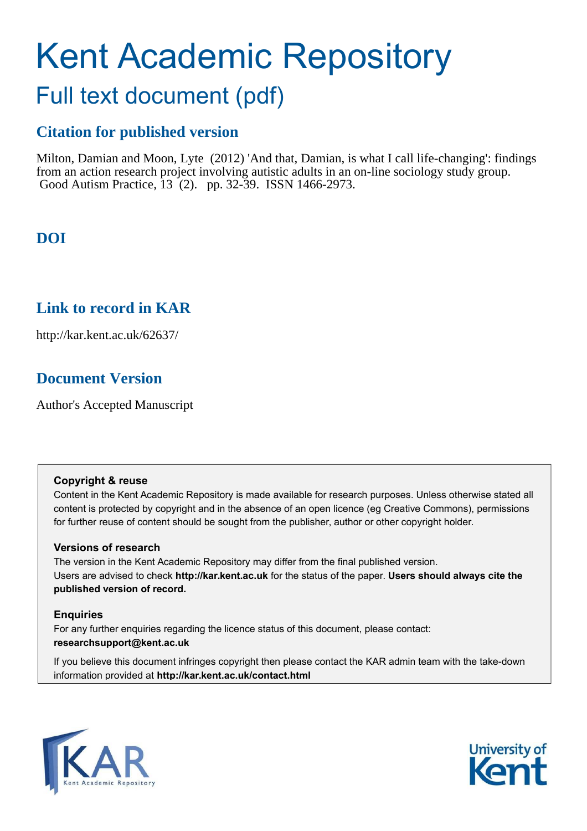# Kent Academic Repository

# Full text document (pdf)

## **Citation for published version**

Milton, Damian and Moon, Lyte (2012) 'And that, Damian, is what I call life-changing': findings from an action research project involving autistic adults in an on-line sociology study group. Good Autism Practice, 13 (2). pp. 32-39. ISSN 1466-2973.

# **DOI**

### **Link to record in KAR**

http://kar.kent.ac.uk/62637/

## **Document Version**

Author's Accepted Manuscript

#### **Copyright & reuse**

Content in the Kent Academic Repository is made available for research purposes. Unless otherwise stated all content is protected by copyright and in the absence of an open licence (eg Creative Commons), permissions for further reuse of content should be sought from the publisher, author or other copyright holder.

#### **Versions of research**

The version in the Kent Academic Repository may differ from the final published version. Users are advised to check **http://kar.kent.ac.uk** for the status of the paper. **Users should always cite the published version of record.**

#### **Enquiries**

For any further enquiries regarding the licence status of this document, please contact: **researchsupport@kent.ac.uk**

If you believe this document infringes copyright then please contact the KAR admin team with the take-down information provided at **http://kar.kent.ac.uk/contact.html**



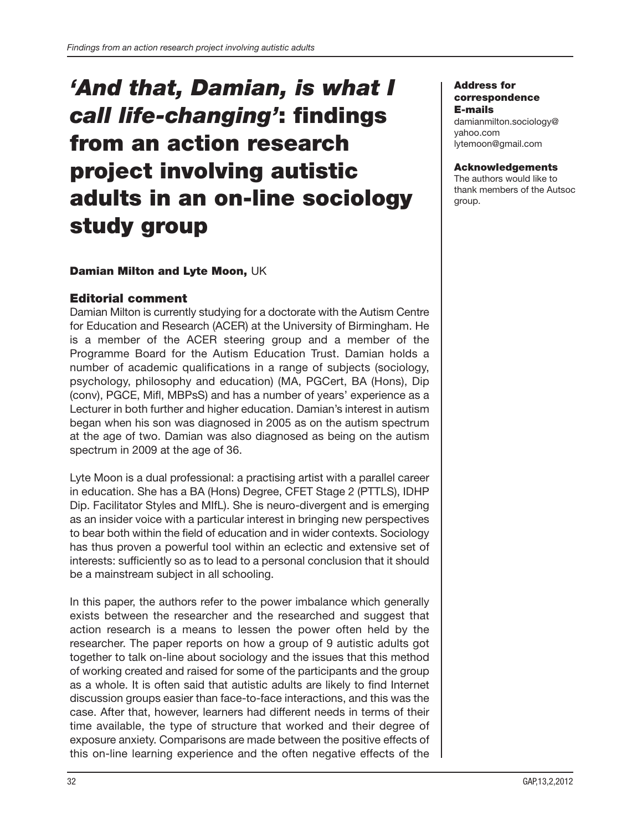# 'And that, Damian, is what I call life-changing': findings from an action research project involving autistic adults in an on-line sociology study group

#### Damian Milton and Lyte Moon, UK

#### Editorial comment

Damian Milton is currently studying for a doctorate with the Autism Centre for Education and Research (ACER) at the University of Birmingham. He is a member of the ACER steering group and a member of the Programme Board for the Autism Education Trust. Damian holds a number of academic qualifications in a range of subjects (sociology, psychology, philosophy and education) (MA, PGCert, BA (Hons), Dip (conv), PGCE, Mifl, MBPsS) and has a number of years' experience as a Lecturer in both further and higher education. Damian's interest in autism began when his son was diagnosed in 2005 as on the autism spectrum at the age of two. Damian was also diagnosed as being on the autism spectrum in 2009 at the age of 36.

Lyte Moon is a dual professional: a practising artist with a parallel career in education. She has a BA (Hons) Degree, CFET Stage 2 (PTTLS), IDHP Dip. Facilitator Styles and MIfL). She is neuro- divergent and is emerging as an insider voice with a particular interest in bringing new perspectives to bear both within the field of education and in wider contexts. Sociology has thus proven a powerful tool within an eclectic and extensive set of interests: sufficiently so as to lead to a personal conclusion that it should be a mainstream subject in all schooling.

In this paper, the authors refer to the power imbalance which generally exists between the researcher and the researched and suggest that action research is a means to lessen the power often held by the researcher. The paper reports on how a group of 9 autistic adults got together to talk on-line about sociology and the issues that this method of working created and raised for some of the participants and the group as a whole. It is often said that autistic adults are likely to find Internet discussion groups easier than face-to- face interactions, and this was the case. After that, however, learners had different needs in terms of their time available, the type of structure that worked and their degree of exposure anxiety. Comparisons are made between the positive effects of this on- line learning experience and the often negative effects of the

#### Address for correspondence E- mails

damianmilton.sociology@ yahoo.com lytemoon@gmail.com

#### Acknowledgements

The authors would like to thank members of the Autsoc group.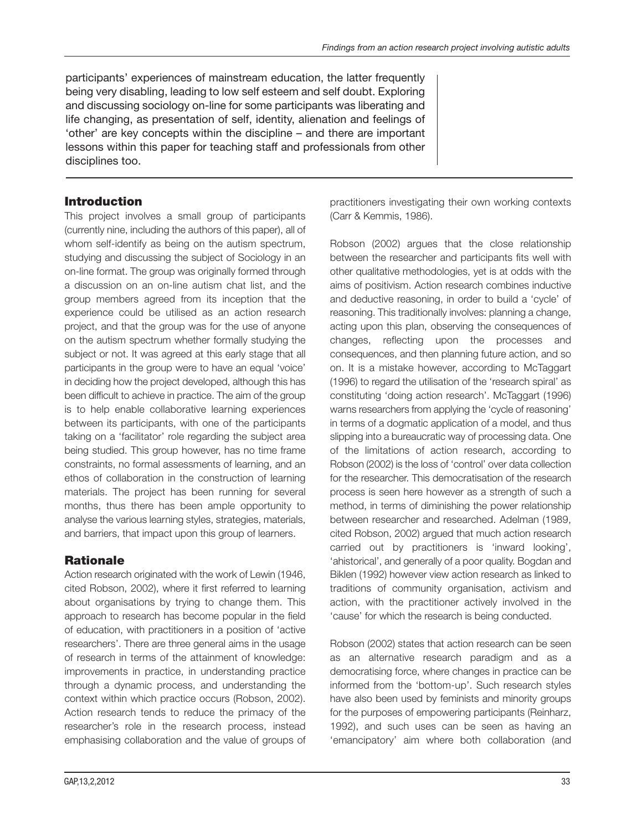practitioners investigating their own working contexts

participants' experiences of mainstream education, the latter frequently being very disabling, leading to low self esteem and self doubt. Exploring and discussing sociology on-line for some participants was liberating and life changing, as presentation of self, identity, alienation and feelings of 'other' are key concepts within the discipline – and there are important lessons within this paper for teaching staff and professionals from other disciplines too.

#### Introduction

This project involves a small group of participants (currently nine, including the authors of this paper), all of whom self-identify as being on the autism spectrum, studying and discussing the subject of Sociology in an on-line format. The group was originally formed through a discussion on an on-line autism chat list, and the group members agreed from its inception that the experience could be utilised as an action research project, and that the group was for the use of anyone on the autism spectrum whether formally studying the subject or not. It was agreed at this early stage that all participants in the group were to have an equal 'voice' in deciding how the project developed, although this has been difficult to achieve in practice. The aim of the group is to help enable collaborative learning experiences between its participants, with one of the participants taking on a 'facilitator' role regarding the subject area being studied. This group however, has no time frame constraints, no formal assessments of learning, and an ethos of collaboration in the construction of learning materials. The project has been running for several months, thus there has been ample opportunity to analyse the various learning styles, strategies, materials, and barriers, that impact upon this group of learners.

#### Rationale

Action research originated with the work of Lewin (1946, cited Robson, 2002), where it first referred to learning about organisations by trying to change them. This approach to research has become popular in the field of education, with practitioners in a position of 'active researchers'. There are three general aims in the usage of research in terms of the attainment of knowledge: improvements in practice, in understanding practice through a dynamic process, and understanding the context within which practice occurs (Robson, 2002). Action research tends to reduce the primacy of the researcher's role in the research process, instead emphasising collaboration and the value of groups of

Robson (2002) argues that the close relationship between the researcher and participants fits well with

(Carr & Kemmis, 1986).

other qualitative methodologies, yet is at odds with the aims of positivism. Action research combines inductive and deductive reasoning, in order to build a 'cycle' of reasoning. This traditionally involves: planning a change, acting upon this plan, observing the consequences of changes, reflecting upon the processes and consequences, and then planning future action, and so on. It is a mistake however, according to McTaggart (1996) to regard the utilisation of the 'research spiral' as constituting 'doing action research'. McTaggart (1996) warns researchers from applying the 'cycle of reasoning' in terms of a dogmatic application of a model, and thus slipping into a bureaucratic way of processing data. One of the limitations of action research, according to Robson (2002) is the loss of 'control' over data collection for the researcher. This democratisation of the research process is seen here however as a strength of such a method, in terms of diminishing the power relationship between researcher and researched. Adelman (1989, cited Robson, 2002) argued that much action research carried out by practitioners is 'inward looking', 'ahistorical', and generally of a poor quality. Bogdan and Biklen (1992) however view action research as linked to traditions of community organisation, activism and action, with the practitioner actively involved in the 'cause' for which the research is being conducted.

Robson (2002) states that action research can be seen as an alternative research paradigm and as a democratising force, where changes in practice can be informed from the 'bottom-up'. Such research styles have also been used by feminists and minority groups for the purposes of empowering participants (Reinharz, 1992), and such uses can be seen as having an 'emancipatory' aim where both collaboration (and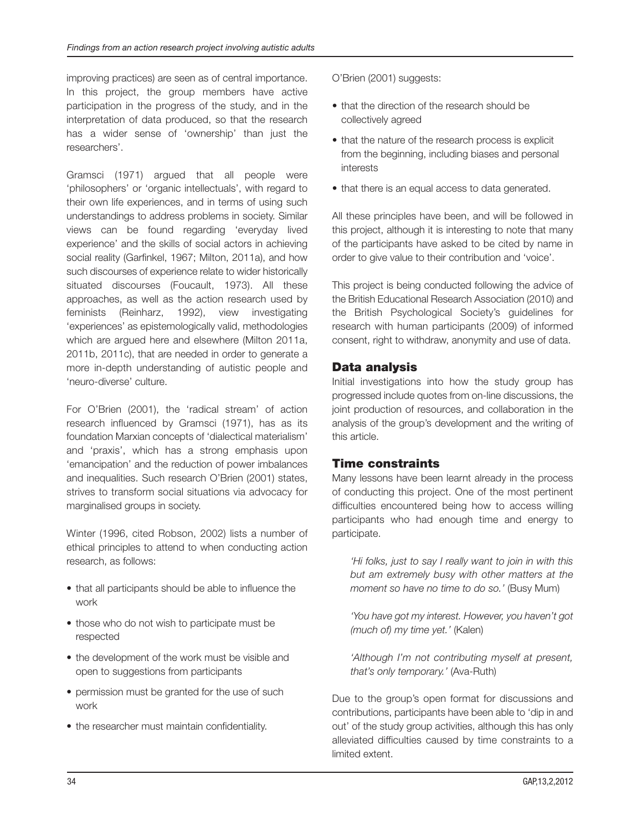improving practices) are seen as of central importance. In this project, the group members have active participation in the progress of the study, and in the interpretation of data produced, so that the research has a wider sense of 'ownership' than just the researchers'.

Gramsci (1971) argued that all people were 'philosophers' or 'organic intellectuals', with regard to their own life experiences, and in terms of using such understandings to address problems in society. Similar views can be found regarding 'everyday lived experience' and the skills of social actors in achieving social reality (Garfinkel, 1967; Milton, 2011a), and how such discourses of experience relate to wider historically situated discourses (Foucault, 1973). All these approaches, as well as the action research used by feminists (Reinharz, 1992), view investigating 'experiences' as epistemologically valid, methodologies which are argued here and elsewhere (Milton 2011a, 2011b, 2011c), that are needed in order to generate a more in- depth understanding of autistic people and 'neuro- diverse' culture.

For O'Brien (2001), the 'radical stream' of action research influenced by Gramsci (1971), has as its foundation Marxian concepts of 'dialectical materialism' and 'praxis', which has a strong emphasis upon 'emancipation' and the reduction of power imbalances and inequalities. Such research O'Brien (2001) states, strives to transform social situations via advocacy for marginalised groups in society.

Winter (1996, cited Robson, 2002) lists a number of ethical principles to attend to when conducting action research, as follows:

- that all participants should be able to influence the work
- those who do not wish to participate must be respected
- the development of the work must be visible and open to suggestions from participants
- permission must be granted for the use of such work
- the researcher must maintain confidentiality.

O'Brien (2001) suggests:

- that the direction of the research should be collectively agreed
- that the nature of the research process is explicit from the beginning, including biases and personal interests
- that there is an equal access to data generated.

All these principles have been, and will be followed in this project, although it is interesting to note that many of the participants have asked to be cited by name in order to give value to their contribution and 'voice'.

This project is being conducted following the advice of the British Educational Research Association (2010) and the British Psychological Society's guidelines for research with human participants (2009) of informed consent, right to withdraw, anonymity and use of data.

#### Data analysis

Initial investigations into how the study group has progressed include quotes from on-line discussions, the joint production of resources, and collaboration in the analysis of the group's development and the writing of this article.

#### Time constraints

Many lessons have been learnt already in the process of conducting this project. One of the most pertinent difficulties encountered being how to access willing participants who had enough time and energy to participate.

*'Hi folks, just to say I really want to join in with this but am extremely busy with other matters at the moment so have no time to do so.'* (Busy Mum)

*'You have got my interest. However, you haven't got (much of) my time yet.'* (Kalen)

*'Although I'm not contributing myself at present,* that's only temporary.' (Ava-Ruth)

Due to the group's open format for discussions and contributions, participants have been able to 'dip in and out' of the study group activities, although this has only alleviated difficulties caused by time constraints to a limited extent.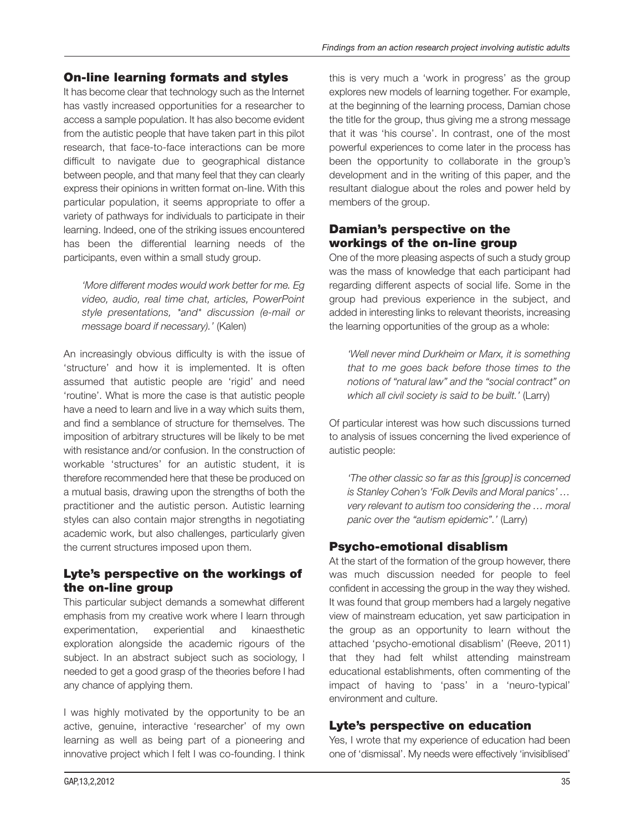#### On-line learning formats and styles

It has become clear that technology such as the Internet has vastly increased opportunities for a researcher to access a sample population. It has also become evident from the autistic people that have taken part in this pilot research, that face-to-face interactions can be more difficult to navigate due to geographical distance between people, and that many feel that they can clearly express their opinions in written format on-line. With this particular population, it seems appropriate to offer a variety of pathways for individuals to participate in their learning. Indeed, one of the striking issues encountered has been the differential learning needs of the participants, even within a small study group.

*'More different modes would work better for me. Eg video, audio, real time chat, articles, PowerPoint style presentations, \*and\* discussion (e- mail or message board if necessary).'* (Kalen)

An increasingly obvious difficulty is with the issue of 'structure' and how it is implemented. It is often assumed that autistic people are 'rigid' and need 'routine'. What is more the case is that autistic people have a need to learn and live in a way which suits them, and find a semblance of structure for themselves. The imposition of arbitrary structures will be likely to be met with resistance and/or confusion. In the construction of workable 'structures' for an autistic student, it is therefore recommended here that these be produced on a mutual basis, drawing upon the strengths of both the practitioner and the autistic person. Autistic learning styles can also contain major strengths in negotiating academic work, but also challenges, particularly given the current structures imposed upon them.

#### Lyte's perspective on the workings of the on-line group

This particular subject demands a somewhat different emphasis from my creative work where I learn through experimentation, experiential and kinaesthetic exploration alongside the academic rigours of the subject. In an abstract subject such as sociology, I needed to get a good grasp of the theories before I had any chance of applying them.

I was highly motivated by the opportunity to be an active, genuine, interactive 'researcher' of my own learning as well as being part of a pioneering and innovative project which I felt I was co-founding. I think this is very much a 'work in progress' as the group explores new models of learning together. For example, at the beginning of the learning process, Damian chose the title for the group, thus giving me a strong message that it was 'his course'. In contrast, one of the most powerful experiences to come later in the process has been the opportunity to collaborate in the group's development and in the writing of this paper, and the resultant dialogue about the roles and power held by members of the group.

#### Damian's perspective on the workings of the on-line group

One of the more pleasing aspects of such a study group was the mass of knowledge that each participant had regarding different aspects of social life. Some in the group had previous experience in the subject, and added in interesting links to relevant theorists, increasing the learning opportunities of the group as a whole:

*'Well never mind Durkheim or Marx, it is something that to me goes back before those times to the notions of "natural law" and the "social contract" on which all civil society is said to be built.'* (Larry)

Of particular interest was how such discussions turned to analysis of issues concerning the lived experience of autistic people:

*'The other classic so far as this [group] is concerned is Stanley Cohen's 'Folk Devils and Moral panics' … very relevant to autism too considering the … moral panic over the "autism epidemic".'* (Larry)

#### Psycho- emotional disablism

At the start of the formation of the group however, there was much discussion needed for people to feel confident in accessing the group in the way they wished. It was found that group members had a largely negative view of mainstream education, yet saw participation in the group as an opportunity to learn without the attached 'psycho- emotional disablism' (Reeve, 2011) that they had felt whilst attending mainstream educational establishments, often commenting of the impact of having to 'pass' in a 'neuro-typical' environment and culture.

#### Lyte's perspective on education

Yes, I wrote that my experience of education had been one of 'dismissal'. My needs were effectively 'invisiblised'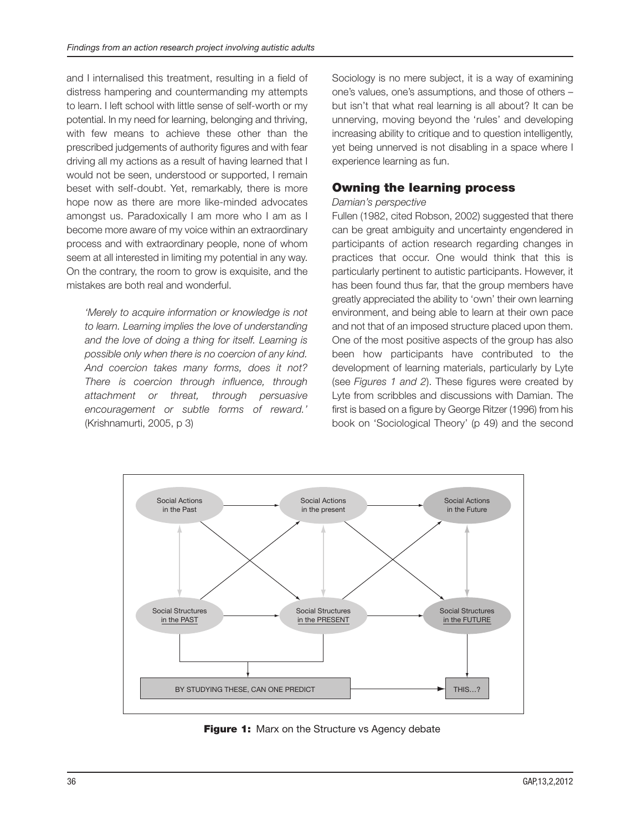and I internalised this treatment, resulting in a field of distress hampering and countermanding my attempts to learn. I left school with little sense of self-worth or my potential. In my need for learning, belonging and thriving, with few means to achieve these other than the prescribed judgements of authority figures and with fear driving all my actions as a result of having learned that I would not be seen, understood or supported, I remain beset with self-doubt. Yet, remarkably, there is more hope now as there are more like-minded advocates amongst us. Paradoxically I am more who I am as I become more aware of my voice within an extraordinary process and with extraordinary people, none of whom seem at all interested in limiting my potential in any way. On the contrary, the room to grow is exquisite, and the mistakes are both real and wonderful.

*'Merely to acquire information or knowledge is not to learn. Learning implies the love of understanding and the love of doing a thing for itself. Learning is possible only when there is no coercion of any kind. And coercion takes many forms, does it not? There is coercion through influence, through attachment or threat, through persuasive encouragement or subtle forms of reward.'* (Krishnamurti, 2005, p 3)

Sociology is no mere subject, it is a way of examining one's values, one's assumptions, and those of others – but isn't that what real learning is all about? It can be unnerving, moving beyond the 'rules' and developing increasing ability to critique and to question intelligently, yet being unnerved is not disabling in a space where I experience learning as fun.

#### Owning the learning process

#### *Damian's perspective*

Fullen (1982, cited Robson, 2002) suggested that there can be great ambiguity and uncertainty engendered in participants of action research regarding changes in practices that occur. One would think that this is particularly pertinent to autistic participants. However, it has been found thus far, that the group members have greatly appreciated the ability to 'own' their own learning environment, and being able to learn at their own pace and not that of an imposed structure placed upon them. One of the most positive aspects of the group has also been how participants have contributed to the development of learning materials, particularly by Lyte (see *Figures 1 and 2*). These figures were created by Lyte from scribbles and discussions with Damian. The first is based on a figure by George Ritzer (1996) from his book on 'Sociological Theory' (p 49) and the second



Figure 1: Marx on the Structure vs Agency debate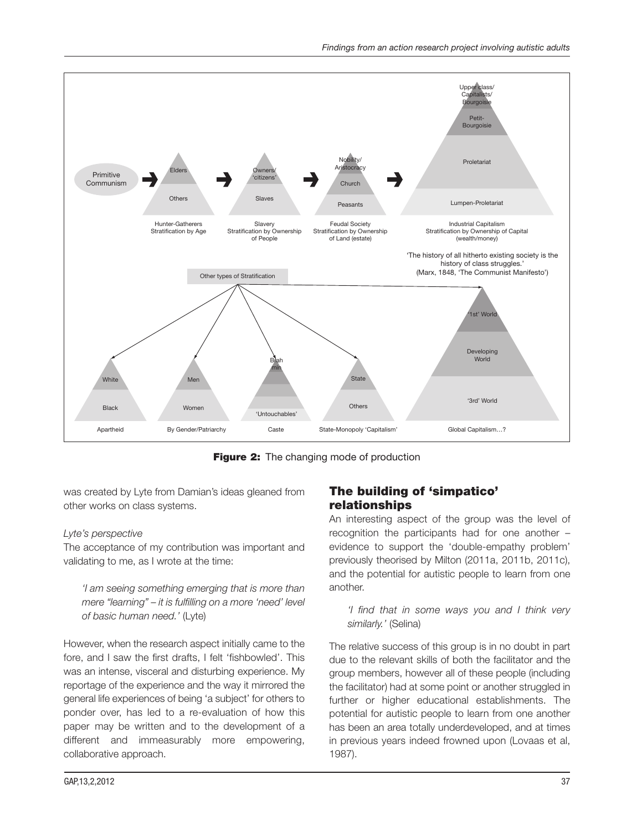

**Figure 2:** The changing mode of production

was created by Lyte from Damian's ideas gleaned from other works on class systems.

#### *Lyte's perspective*

The acceptance of my contribution was important and validating to me, as I wrote at the time:

*'I am seeing something emerging that is more than mere "learning" – it is fulfilling on a more 'need' level of basic human need.'* (Lyte)

However, when the research aspect initially came to the fore, and I saw the first drafts, I felt 'fishbowled'. This was an intense, visceral and disturbing experience. My reportage of the experience and the way it mirrored the general life experiences of being 'a subject' for others to ponder over, has led to a re-evaluation of how this paper may be written and to the development of a different and immeasurably more empowering, collaborative approach.

#### The building of 'simpatico' relationships

An interesting aspect of the group was the level of recognition the participants had for one another – evidence to support the 'double-empathy problem' previously theorised by Milton (2011a, 2011b, 2011c), and the potential for autistic people to learn from one another.

*'I find that in some ways you and I think very similarly.'* (Selina)

The relative success of this group is in no doubt in part due to the relevant skills of both the facilitator and the group members, however all of these people (including the facilitator) had at some point or another struggled in further or higher educational establishments. The potential for autistic people to learn from one another has been an area totally underdeveloped, and at times in previous years indeed frowned upon (Lovaas et al, 1987).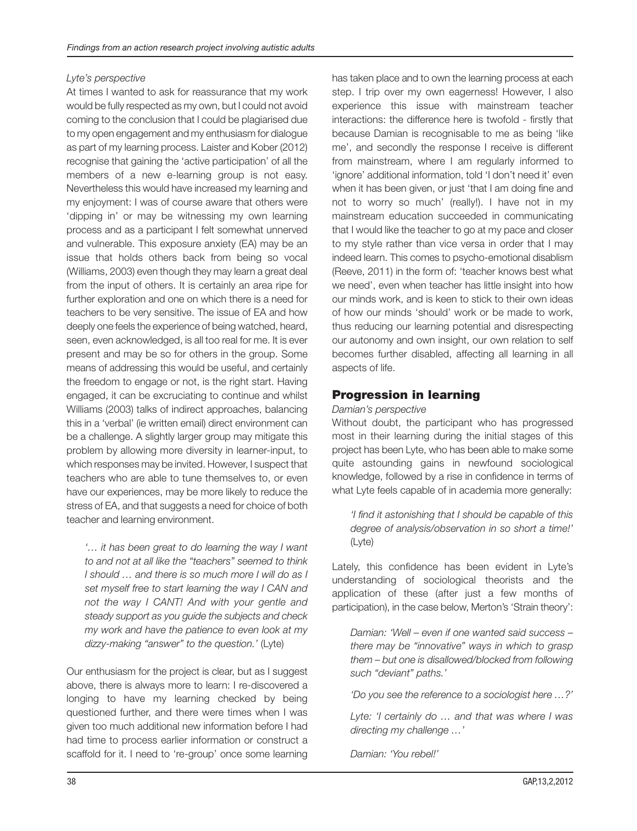#### *Lyte's perspective*

At times I wanted to ask for reassurance that my work would be fully respected as my own, but I could not avoid coming to the conclusion that I could be plagiarised due to my open engagement and my enthusiasm for dialogue as part of my learning process. Laister and Kober (2012) recognise that gaining the 'active participation' of all the members of a new e- learning group is not easy. Nevertheless this would have increased my learning and my enjoyment: I was of course aware that others were 'dipping in' or may be witnessing my own learning process and as a participant I felt somewhat unnerved and vulnerable. This exposure anxiety (EA) may be an issue that holds others back from being so vocal (Williams, 2003) even though they may learn a great deal from the input of others. It is certainly an area ripe for further exploration and one on which there is a need for teachers to be very sensitive. The issue of EA and how deeply one feels the experience of being watched, heard, seen, even acknowledged, is all too real for me. It is ever present and may be so for others in the group. Some means of addressing this would be useful, and certainly the freedom to engage or not, is the right start. Having engaged, it can be excruciating to continue and whilst Williams (2003) talks of indirect approaches, balancing this in a 'verbal' (ie written email) direct environment can be a challenge. A slightly larger group may mitigate this problem by allowing more diversity in learner- input, to which responses may be invited. However, I suspect that teachers who are able to tune themselves to, or even have our experiences, may be more likely to reduce the stress of EA, and that suggests a need for choice of both teacher and learning environment.

*'… it has been great to do learning the way I want to and not at all like the "teachers" seemed to think I should … and there is so much more I will do as I set myself free to start learning the way I CAN and not the way I CANT! And with your gentle and steady support as you guide the subjects and check my work and have the patience to even look at my dizzy- making "answer" to the question.'* (Lyte)

Our enthusiasm for the project is clear, but as I suggest above, there is always more to learn: I re-discovered a longing to have my learning checked by being questioned further, and there were times when I was given too much additional new information before I had had time to process earlier information or construct a scaffold for it. I need to 're-group' once some learning has taken place and to own the learning process at each step. I trip over my own eagerness! However, I also experience this issue with mainstream teacher interactions: the difference here is twofold - firstly that because Damian is recognisable to me as being 'like me', and secondly the response I receive is different from mainstream, where I am regularly informed to 'ignore' additional information, told 'I don't need it' even when it has been given, or just 'that I am doing fine and not to worry so much' (really!). I have not in my mainstream education succeeded in communicating that I would like the teacher to go at my pace and closer to my style rather than vice versa in order that I may indeed learn. This comes to psycho-emotional disablism (Reeve, 2011) in the form of: 'teacher knows best what we need', even when teacher has little insight into how our minds work, and is keen to stick to their own ideas of how our minds 'should' work or be made to work, thus reducing our learning potential and disrespecting our autonomy and own insight, our own relation to self becomes further disabled, affecting all learning in all aspects of life.

#### Progression in learning

*Damian's perspective*

Without doubt, the participant who has progressed most in their learning during the initial stages of this project has been Lyte, who has been able to make some quite astounding gains in newfound sociological knowledge, followed by a rise in confidence in terms of what Lyte feels capable of in academia more generally:

*'I find it astonishing that I should be capable of this degree of analysis/observation in so short a time!'* (Lyte)

Lately, this confidence has been evident in Lyte's understanding of sociological theorists and the application of these (after just a few months of participation), in the case below, Merton's 'Strain theory':

*Damian: 'Well – even if one wanted said success – there may be "innovative" ways in which to grasp them – but one is disallowed/blocked from following such "deviant" paths.'*

*'Do you see the reference to a sociologist here …?'*

*Lyte: 'I certainly do … and that was where I was directing my challenge …'*

*Damian: 'You rebel!'*